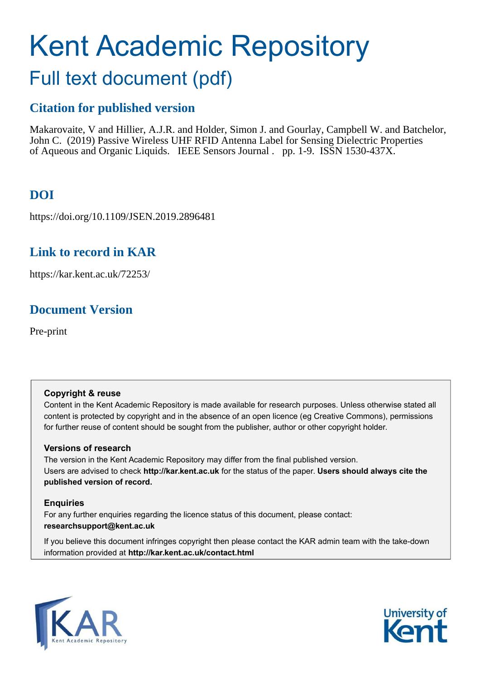# Kent Academic Repository

## Full text document (pdf)

## **Citation for published version**

Makarovaite, V and Hillier, A.J.R. and Holder, Simon J. and Gourlay, Campbell W. and Batchelor, John C. (2019) Passive Wireless UHF RFID Antenna Label for Sensing Dielectric Properties of Aqueous and Organic Liquids. IEEE Sensors Journal . pp. 1-9. ISSN 1530-437X.

## **DOI**

https://doi.org/10.1109/JSEN.2019.2896481

### **Link to record in KAR**

https://kar.kent.ac.uk/72253/

## **Document Version**

Pre-print

#### **Copyright & reuse**

Content in the Kent Academic Repository is made available for research purposes. Unless otherwise stated all content is protected by copyright and in the absence of an open licence (eg Creative Commons), permissions for further reuse of content should be sought from the publisher, author or other copyright holder.

#### **Versions of research**

The version in the Kent Academic Repository may differ from the final published version. Users are advised to check **http://kar.kent.ac.uk** for the status of the paper. **Users should always cite the published version of record.**

#### **Enquiries**

For any further enquiries regarding the licence status of this document, please contact: **researchsupport@kent.ac.uk**

If you believe this document infringes copyright then please contact the KAR admin team with the take-down information provided at **http://kar.kent.ac.uk/contact.html**



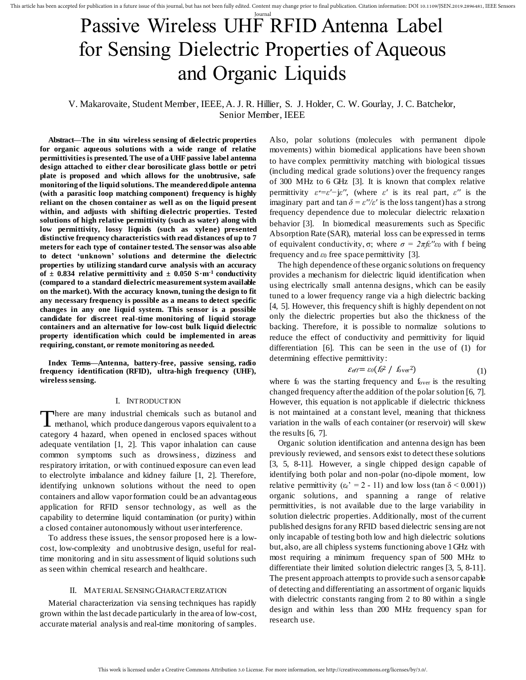This article has been accepted for publication in a future issue of this journal, but has not been fully edited. Content may change prior to final publication. Citation information: DOI 10.1109/JSEN.2019.2896481, IEEE Sens

## Journal Passive Wireless UHF RFID Antenna Label for Sensing Dielectric Properties of Aqueous and Organic Liquids

#### V. Makarovaite, Student Member, IEEE, A. J. R. Hillier, S. J. Holder, C. W. Gourlay, J. C. Batchelor, Senior Member, IEEE

**Abstract—The in situ wireless sensing of dielectric properties for organic aqueous solutions with a wide range of relative permittivities is presented. The use of a UHF passive label antenna design attached to either clear borosilicate glass bottle or petri plate is proposed and which allows for the unobtrusive, safe monitoring of the liquid solutions. The meandered dipole antenna (with a parasitic loop matching component) frequency is highly reliant on the chosen container as well as on the liquid present within, and adjusts with shifting dielectric properties. Tested solutions of high relative permittivity (such as water) along with low permittivity, lossy liquids (such as xylene) presented distinctive frequency characteristics with read distances of up to 7 meters for each type of container tested. The sensor was also able to detect 'unknown' solutions and determine the dielectric properties by utilizing standard curve analysis with an accuracy**  of  $\pm$  0.834 relative permittivity and  $\pm$  0.050 S $\cdot$ m<sup>-1</sup> conductivity **(compared to a standard dielectric measurement system available on the market). With the accuracy known, tuning the design to fit any necessary frequency is possible as a means to detect specific changes in any one liquid system. This sensor is a possible candidate for discreet real-time monitoring of liquid storage containers and an alternative for low-cost bulk liquid dielectric property identification which could be implemented in areas requiring, constant, or remote monitoring as needed.** 

**Index Terms—Antenna, battery-free, passive sensing, radio frequency identification (RFID), ultra-high frequency (UHF), wireless sensing.** 

#### I. INTRODUCTION

There are many industrial chemicals such as butanol and methanol, which produce dangerous vapors equivalent to a **L** methanol, which produce dangerous vapors equivalent to a category 4 hazard, when opened in enclosed spaces without adequate ventilation [1, 2]. This vapor inhalation can cause common symptoms such as drowsiness, dizziness and respiratory irritation, or with continued exposure can even lead to electrolyte imbalance and kidney failure [1, 2]. Therefore, identifying unknown solutions without the need to open containers and allow vapor formation could be an advantageous application for RFID sensor technology, as well as the capability to determine liquid contamination (or purity) within a closed container autonomously without user interference.

To address these issues, the sensor proposed here is a lowcost, low-complexity and unobtrusive design, useful for realtime monitoring and in situ assessment of liquid solutions such as seen within chemical research and healthcare.

#### II. MATERIAL SENSING CHARACTERIZATION

Material characterization via sensing techniques has rapidly grown within the last decade particularly in the area of low-cost, accurate material analysis and real-time monitoring of samples. Also, polar solutions (molecules with permanent dipole movements) within biomedical applications have been shown to have complex permittivity matching with biological tissues (including medical grade solutions) over the frequency ranges of 300 MHz to 6 GHz [3]. It is known that complex relative permittivity  $\varepsilon^* = \varepsilon' - j\varepsilon''$ , (where  $\varepsilon'$  is its real part,  $\varepsilon''$  is the imaginary part and  $\tan \delta = \varepsilon''/\varepsilon'$  is the loss tangent) has a strong frequency dependence due to molecular dielectric relaxation behavior [3]. In biomedical measurements such as Specific Absorption Rate (SAR), material loss can be expressed in terms of equivalent conductivity,  $\sigma$ ; where  $\sigma = 2\pi f \epsilon'' \epsilon_0$  with f being frequency and  $\varepsilon_0$  free space permittivity [3].

The high dependence of these organic solutions on frequency provides a mechanism for dielectric liquid identification when using electrically small antenna designs, which can be easily tuned to a lower frequency range via a high dielectric backing [4, 5]. However, this frequency shift is highly dependent on not only the dielectric properties but also the thickness of the backing. Therefore, it is possible to normalize solutions to reduce the effect of conductivity and permittivity for liquid differentiation [6]. This can be seen in the use of (1) for determining effective permittivity:

$$
\mathcal{E}_{\text{eff}} = \varepsilon_0 (f_0^2 / f_{\text{over}}^2) \tag{1}
$$

where  $f_0$  was the starting frequency and  $f_{over}$  is the resulting changed frequency after the addition of the polar solution [6, 7]. However, this equation is not applicable if dielectric thickness is not maintained at a constant level, meaning that thickness variation in the walls of each container (or reservoir) will skew the results [6, 7].

Organic solution identification and antenna design has been previously reviewed, and sensors exist to detect these solutions [3, 5, 8-11]. However, a single chipped design capable of identifying both polar and non-polar (no-dipole moment, low relative permittivity  $(\epsilon_r' = 2 - 11)$  and low loss (tan  $\delta$  < 0.001)) organic solutions, and spanning a range of relative permittivities, is not available due to the large variability in solution dielectric properties. Additionally, most of the current published designs for any RFID based dielectric sensing are not only incapable of testing both low and high dielectric solutions but, also, are all chipless systems functioning above 1 GHz with most requiring a minimum frequency span of 500 MHz to differentiate their limited solution dielectric ranges [3, 5, 8-11]. The present approach attempts to provide such a sensor capable of detecting and differentiating an assortment of organic liquids with dielectric constants ranging from 2 to 80 within a single design and within less than 200 MHz frequency span for research use.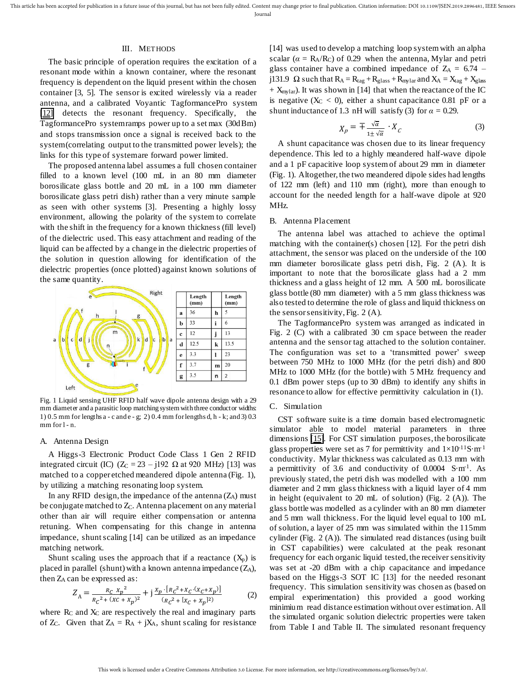#### III. METHODS

The basic principle of operation requires the excitation of a resonant mode within a known container, where the resonant frequency is dependent on the liquid present within the chosen container [3, 5]. The sensor is excited wirelessly via a reader antenna, and a calibrated Voyantic TagformancePro system [\[12\]](https://voyantic.com/tagformance) detects the resonant frequency. Specifically, the TagformancePro system ramps power up to a set max (30dBm) and stops transmission once a signal is received back to the system (correlating output to the transmitted power levels); the links for this type of system are forward power limited.

The proposed antenna label assumes a full chosen container filled to a known level (100 mL in an 80 mm diameter borosilicate glass bottle and 20 mL in a 100 mm diameter borosilicate glass petri dish) rather than a very minute sample as seen with other systems [3]. Presenting a highly lossy environment, allowing the polarity of the system to correlate with the shift in the frequency for a known thickness (fill level) of the dielectric used. This easy attachment and reading of the liquid can be affected by a change in the dielectric properties of the solution in question allowing for identification of the dielectric properties (once plotted) against known solutions of the same quantity.



Fig. 1 Liquid sensing UHF RFID half wave dipole antenna design with a 29 mm diameter and a parasitic loop matching system with three conductor widths: 1) 0.5 mm for lengths a - c and e - g; 2) 0.4 mm for lengths d, h - k; and 3) 0.3 mm for l - n.

#### A. Antenna Design

A Higgs-3 Electronic Product Code Class 1 Gen 2 RFID integrated circuit (IC)  $(Z_C = 23 - j192 \Omega)$  at 920 MHz) [13] was matched to a copper etched meandered dipole antenna (Fig. 1), by utilizing a matching resonating loop system.

In any RFID design, the impedance of the antenna  $(Z_A)$  must be conjugate matched to  $Z_C$ . Antenna placement on any material other than air will require either compensation or antenna retuning. When compensating for this change in antenna impedance, shunt scaling [14] can be utilized as an impedance matching network.

Shunt scaling uses the approach that if a reactance  $(X_p)$  is placed in parallel (shunt) with a known antenna impedance  $(Z_A)$ , then ZA can be expressed as:

$$
Z_{A} = \frac{R_{C} x_{p}^{2}}{R_{C}^{2} + (XC + X_{p})^{2}} + j \frac{X_{p} \cdot [R_{C}^{2} + X_{C} \cdot (X_{C} + X_{p})]}{(R_{C}^{2} + [X_{C} + X_{p}]^{2})}
$$
(2)

where  $R_C$  and  $X_C$  are respectively the real and imaginary parts of  $Z_c$ . Given that  $Z_A = R_A + jX_A$ , shunt scaling for resistance

[14] was used to develop a matching loop system with an alpha scalar ( $\alpha = R_A/R_C$ ) of 0.29 when the antenna, Mylar and petri glass container have a combined impedance of  $Z_A = 6.74$  – j131.9  $\Omega$  such that  $R_A = R_{tag} + R_{glass} + R_{mylar}$  and  $X_A = X_{tag} + X_{glass}$  $+$  X<sub>mylar</sub>). It was shown in [14] that when the reactance of the IC is negative  $(X_C < 0)$ , either a shunt capacitance 0.81 pF or a shunt inductance of 1.3 nH will satisfy (3) for  $\alpha = 0.29$ .

$$
X_p = \mp \frac{\sqrt{\alpha}}{1 \pm \sqrt{\alpha}} \cdot X_c \tag{3}
$$

A shunt capacitance was chosen due to its linear frequency dependence. This led to a highly meandered half-wave dipole and a 1 pF capacitive loop system of about 29 mm in diameter (Fig. 1). Altogether, the two meandered dipole sides had lengths of 122 mm (left) and 110 mm (right), more than enough to account for the needed length for a half-wave dipole at 920 MHz.

#### B. Antenna Placement

The antenna label was attached to achieve the optimal matching with the container(s) chosen [12]. For the petri dish attachment, the sensor was placed on the underside of the 100 mm diameter borosilicate glass petri dish, Fig. 2 (A). It is important to note that the borosilicate glass had a 2 mm thickness and a glass height of 12 mm. A 500 mL borosilicate glass bottle (80 mm diameter) with a 5 mm glass thickness was also tested to determine the role of glass and liquid thickness on the sensor sensitivity, Fig. 2 (A).

The TagformancePro system was arranged as indicated in Fig. 2 (C) with a calibrated 30 cm space between the reader antenna and the sensor tag attached to the solution container. The configuration was set to a 'transmitted power' sweep between 750 MHz to 1000 MHz (for the petri dish) and 800 MHz to 1000 MHz (for the bottle) with 5 MHz frequency and 0.1 dBm power steps (up to 30 dBm) to identify any shifts in resonance to allow for effective permittivity calculation in (1).

#### C. Simulation

CST software suite is a time domain based electromagnetic simulator able to model material parameters in three dimensions [\[15\].](https://www.cst.com/) For CST simulation purposes, the borosilicate glass properties were set as 7 for permittivity and  $1\times10^{-11}$ S·m<sup>-1</sup> conductivity. Mylar thickness was calculated as 0.13 mm with a permittivity of 3.6 and conductivity of  $0.0004$  S·m<sup>-1</sup>. As previously stated, the petri dish was modelled with a 100 mm diameter and 2 mm glass thickness with a liquid layer of 4 mm in height (equivalent to 20 mL of solution) (Fig. 2 (A)). The glass bottle was modelled as a cylinder with an 80 mm diameter and 5 mm wall thickness. For the liquid level equal to 100 mL of solution, a layer of 25 mm was simulated within the 115mm cylinder (Fig. 2 (A)). The simulated read distances (using built in CST capabilities) were calculated at the peak resonant frequency for each organic liquid tested, the receiver sensitivity was set at -20 dBm with a chip capacitance and impedance based on the Higgs-3 SOT IC [13] for the needed resonant frequency. This simulation sensitivity was chosen as (based on empiral experimentation) this provided a good working minimium read distance estimation without over estimation. All the simulated organic solution dielectric properties were taken from Table I and Table II. The simulated resonant frequency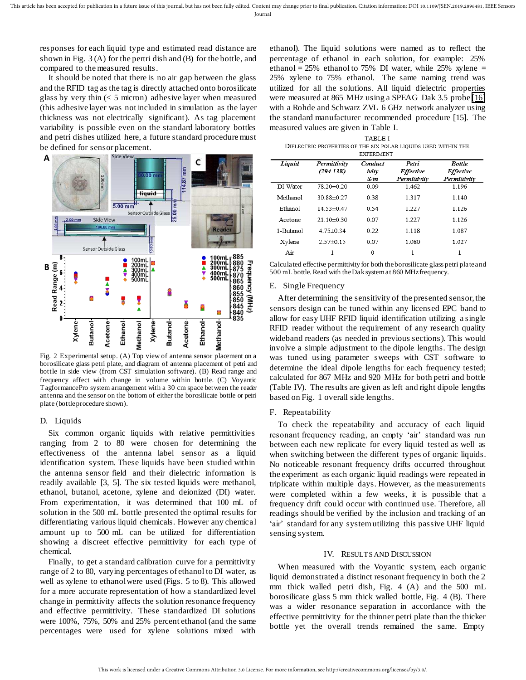responses for each liquid type and estimated read distance are shown in Fig. 3 (A) for the pertri dish and (B) for the bottle, and compared to the measured results.

It should be noted that there is no air gap between the glass and the RFID tag as the tag is directly attached onto borosilicate glass by very thin  $(< 5$  micron) adhesive layer when measured (this adhesive layer was not included in simulation as the layer thickness was not electrically significant). As tag placement variability is possible even on the standard laboratory bottles and petri dishes utilized here, a future standard procedure must be defined for sensor placement.



Fig. 2 Experimental setup. (A) Top view of antenna sensor placement on a borosilicate glass petri plate, and diagram of antenna placement of petri and bottle in side view (from CST simulation software). (B) Read range and frequency affect with change in volume within bottle. (C) Voyantic TagformancePro system arrangement with a 30 cm space between the reader antenna and the sensor on the bottom of either the borosilicate bottle or petri plate (bottle procedure shown).

#### D. Liquids

Six common organic liquids with relative permittivities ranging from 2 to 80 were chosen for determining the effectiveness of the antenna label sensor as a liquid identification system. These liquids have been studied within the antenna sensor field and their dielectric information is readily available [3, 5]. The six tested liquids were methanol, ethanol, butanol, acetone, xylene and deionized (DI) water. From experimentation, it was determined that 100 mL of solution in the 500 mL bottle presented the optimal results for differentiating various liquid chemicals. However any chemical amount up to 500 mL can be utilized for differentiation showing a discreet effective permittivity for each type of chemical.

Finally, to get a standard calibration curve for a permittivity range of 2 to 80, varying percentages of ethanol to DI water, as well as xylene to ethanol were used (Figs. 5 to 8). This allowed for a more accurate representation of how a standardized level change in permittivity affects the solution resonance frequency and effective permittivity. These standardized DI solutions were 100%, 75%, 50% and 25% percent ethanol (and the same percentages were used for xylene solutions mixed with

ethanol). The liquid solutions were named as to reflect the percentage of ethanol in each solution, for example: 25% ethanol =  $25\%$  ethanol to 75% DI water, while 25% xylene = 25% xylene to 75% ethanol. The same naming trend was utilized for all the solutions. All liquid dielectric properties were measured at 865 MHz using a SPEAG Dak 3.5 probe [\[16\]](https://www.speag.com/products/dak/dak-dielectric-probe-systems/dak-3-5-200-mhz-20-ghz/) with a Rohde and Schwarz ZVL 6 GHz network analyzer using the standard manufacturer recommended procedure [15]. The measured values are given in Table I.

**TABLE I** DIELECTRIC PROPERTIES OF THE SIX POLAR LIQUIDS USED WITHIN THE **EXPERIMENT** 

| Liquid    | Permittivity<br>(294.13K) | Conduct<br>ivity<br>S/m | Petri<br><b>Effective</b><br>Permittivity | <b>Bottle</b><br><b>Effective</b><br>Permittivity |
|-----------|---------------------------|-------------------------|-------------------------------------------|---------------------------------------------------|
| DI Water  | 78 20±0 20                | 0.09                    | 1462                                      | 1 1 9 6                                           |
| Methanol  | 30 88±0 27                | 0.38                    | 1317                                      | 1 1 4 0                                           |
| Ethanol   | 14.53±0.47                | 0.54                    | 1.227                                     | 1.126                                             |
| Acetone   | $21.10 \pm 0.30$          | 0.07                    | 1 22.7                                    | 1 1 2 6                                           |
| 1-Butanol | $475 \pm 0.34$            | 0.22                    | 1 1 1 8                                   | 1.087                                             |
| Xylene    | $2.57\pm0.15$             | 0.07                    | 1.080                                     | 1.027                                             |
| Air       |                           | 0                       |                                           |                                                   |

Calculated effective permittivity for both the borosilicate glass petri plate and 500 mL bottle. Read with the Dak system at 860 MHz frequency.

#### E. Single Frequency

After determining the sensitivity of the presented sensor, the sensors design can be tuned within any licensed EPC band to allow for easy UHF RFID liquid identification utilizing a single RFID reader without the requirement of any research quality wideband readers (as needed in previous sections). This would involve a simple adjustment to the dipole lengths. The design was tuned using parameter sweeps with CST software to determine the ideal dipole lengths for each frequency tested; calculated for 867 MHz and 920 MHz for both petri and bottle (Table IV). The results are given as left and right dipole lengths based on Fig. 1 overall side lengths.

#### F. Repeatability

To check the repeatability and accuracy of each liquid resonant frequency reading, an empty 'air' standard was run between each new replicate for every liquid tested as well as when switching between the different types of organic liquids. No noticeable resonant frequency drifts occurred throughout the experiment as each organic liquid readings were repeated in triplicate within multiple days. However, as the measurements were completed within a few weeks, it is possible that a frequency drift could occur with continued use. Therefore, all readings should be verified by the inclusion and tracking of an 'air' standard for any system utilizing this passive UHF liquid sensing system.

#### IV. RESULTS AND DISCUSSION

When measured with the Voyantic system, each organic liquid demonstrated a distinct resonant frequency in both the 2 mm thick walled petri dish, Fig. 4 (A) and the 500 mL borosilicate glass 5 mm thick walled bottle, Fig. 4 (B). There was a wider resonance separation in accordance with the effective permittivity for the thinner petri plate than the thicker bottle yet the overall trends remained the same. Empty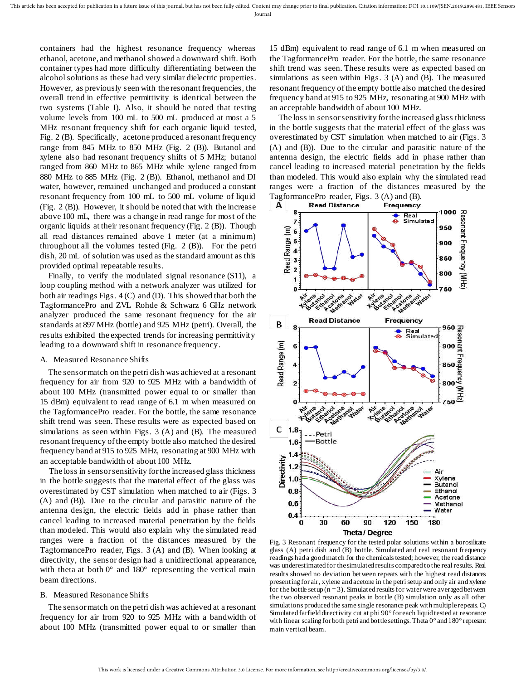containers had the highest resonance frequency whereas ethanol, acetone, and methanol showed a downward shift. Both container types had more difficulty differentiating between the alcohol solutions as these had very similar dielectric properties. However, as previously seen with the resonant frequencies, the overall trend in effective permittivity is identical between the two systems (Table I). Also, it should be noted that testing volume levels from 100 mL to 500 mL produced at most a 5 MHz resonant frequency shift for each organic liquid tested, Fig. 2 (B). Specifically, acetone produced a resonant frequency range from 845 MHz to 850 MHz (Fig. 2 (B)). Butanol and xylene also had resonant frequency shifts of 5 MHz; butanol ranged from 860 MHz to 865 MHz while xylene ranged from 880 MHz to 885 MHz (Fig. 2 (B)). Ethanol, methanol and DI water, however, remained unchanged and produced a constant resonant frequency from 100 mL to 500 mL volume of liquid (Fig. 2 (B)). However, it should be noted that with the increase above 100 mL, there was a change in read range for most of the organic liquids at their resonant frequency (Fig. 2 (B)). Though all read distances remained above 1 meter (at a minimum) throughout all the volumes tested (Fig. 2 (B)). For the petri dish, 20 mL of solution was used as the standard amount as this provided optimal repeatable results.

Finally, to verify the modulated signal resonance (S11), a loop coupling method with a network analyzer was utilized for both air readings Figs. 4 (C) and (D). This showed that both the TagformancePro and ZVL Rohde & Schwarz 6 GHz network analyzer produced the same resonant frequency for the air standards at 897 MHz (bottle) and 925 MHz (petri). Overall, the results exhibited the expected trends for increasing permittivity leading to a downward shift in resonance frequency.

#### A. Measured Resonance Shifts

The sensor match on the petri dish was achieved at a resonant frequency for air from 920 to 925 MHz with a bandwidth of about 100 MHz (transmitted power equal to or smaller than 15 dBm) equivalent to read range of 6.1 m when measured on the TagformancePro reader. For the bottle, the same resonance shift trend was seen. These results were as expected based on simulations as seen within Figs. 3 (A) and (B). The measured resonant frequency of the empty bottle also matched the desired frequency band at 915 to 925 MHz, resonating at 900 MHz with an acceptable bandwidth of about 100 MHz.

The loss in sensor sensitivity for the increased glass thickness in the bottle suggests that the material effect of the glass was overestimated by CST simulation when matched to air (Figs. 3 (A) and (B)). Due to the circular and parasitic nature of the antenna design, the electric fields add in phase rather than cancel leading to increased material penetration by the fields than modeled. This would also explain why the simulated read ranges were a fraction of the distances measured by the TagformancePro reader, Figs. 3 (A) and (B). When looking at directivity, the sensor design had a unidirectional appearance, with theta at both  $0^{\circ}$  and  $180^{\circ}$  representing the vertical main beam directions.

#### B. Measured Resonance Shifts

The sensor match on the petri dish was achieved at a resonant frequency for air from 920 to 925 MHz with a bandwidth of about 100 MHz (transmitted power equal to or smaller than

15 dBm) equivalent to read range of 6.1 m when measured on the TagformancePro reader. For the bottle, the same resonance shift trend was seen. These results were as expected based on simulations as seen within Figs. 3 (A) and (B). The measured resonant frequency of the empty bottle also matched the desired frequency band at 915 to 925 MHz, resonating at 900 MHz with an acceptable bandwidth of about 100 MHz.

The loss in sensor sensitivity for the increased glass thickness in the bottle suggests that the material effect of the glass was overestimated by CST simulation when matched to air (Figs. 3 (A) and (B)). Due to the circular and parasitic nature of the antenna design, the electric fields add in phase rather than cancel leading to increased material penetration by the fields than modeled. This would also explain why the simulated read ranges were a fraction of the distances measured by the TagformancePro reader, Figs. 3 (A) and (B).



Fig. 3 Resonant frequency for the tested polar solutions within a borosilicate glass (A) petri dish and (B) bottle. Simulated and real resonant frequency readings had a good match for the chemicals tested; however, the read distance was underestimated for the simulated results compared to the real results. Real results showed no deviation between repeats with the highest read distances presenting for air, xylene and acetone in the petri setup and only air and xylene for the bottle setup  $(n = 3)$ . Simulated results for water were averaged between the two observed resonant peaks in bottle (B) simulation only as all other simulations produced the same single resonance peak with multiple repeats. C) Simulated farfield directivity cut at phi 90° for each liquid tested at resonance with linear scaling for both petri and bottle settings. Theta 0° and 180° represent main vertical beam.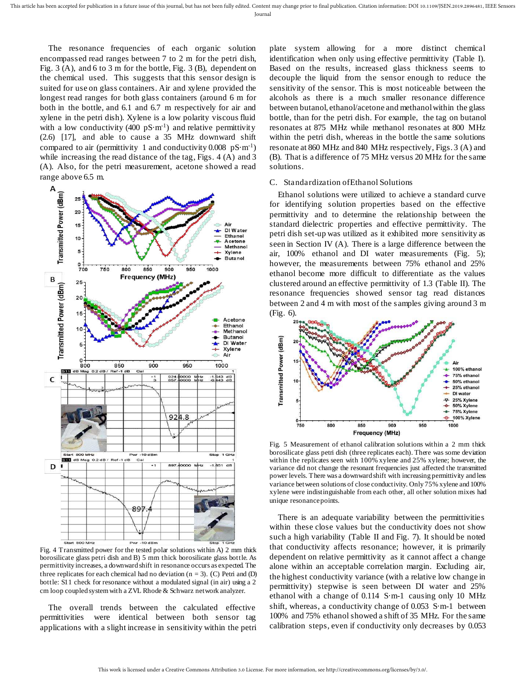The resonance frequencies of each organic solution encompassed read ranges between 7 to 2 m for the petri dish, Fig. 3 (A), and 6 to 3 m for the bottle, Fig. 3 (B), dependent on the chemical used. This suggests that this sensor design is suited for use on glass containers. Air and xylene provided the longest read ranges for both glass containers (around 6 m for both in the bottle, and 6.1 and 6.7 m respectively for air and xylene in the petri dish). Xylene is a low polarity viscous fluid with a low conductivity (400  $pS·m<sup>-1</sup>$ ) and relative permittivity (2.6) [17], and able to cause a 35 MHz downward shift compared to air (permittivity 1 and conductivity  $0.008 \text{ pS} \cdot \text{m}^{-1}$ ) while increasing the read distance of the tag, Figs. 4 (A) and 3 (A). Also, for the petri measurement, acetone showed a read range above 6.5 m.



Fig. 4 Transmitted power for the tested polar solutions within A) 2 mm thick borosilicate glass petri dish and B) 5 mm thick borosilicate glass bottle. As permittivity increases, a downward shift in resonance occurs as expected. The three replicates for each chemical had no deviation ( $n = 3$ ). (C) Petri and (D) bottle: S11 check for resonance without a modulated signal (in air) using a 2 cm loop coupled system with a ZVL Rhode & Schwarz network analyzer.

The overall trends between the calculated effective permittivities were identical between both sensor tag applications with a slight increase in sensitivity within the petri

plate system allowing for a more distinct chemical identification when only using effective permittivity (Table I). Based on the results, increased glass thickness seems to decouple the liquid from the sensor enough to reduce the sensitivity of the sensor. This is most noticeable between the alcohols as there is a much smaller resonance difference between butanol, ethanol/acetone and methanol within the glass bottle, than for the petri dish. For example, the tag on butanol resonates at 875 MHz while methanol resonates at 800 MHz within the petri dish, whereas in the bottle the same solutions resonate at 860 MHz and 840 MHz respectively, Figs. 3 (A) and (B). That is a difference of 75 MHz versus 20 MHz for the same solutions.

#### C. Standardization of Ethanol Solutions

Ethanol solutions were utilized to achieve a standard curve for identifying solution properties based on the effective permittivity and to determine the relationship between the standard dielectric properties and effective permittivity. The petri dish set-up was utilized as it exhibited more sensitivity as seen in Section IV (A). There is a large difference between the air, 100% ethanol and DI water measurements (Fig. 5); however, the measurements between 75% ethanol and 25% ethanol become more difficult to differentiate as the values clustered around an effective permittivity of 1.3 (Table II). The resonance frequencies showed sensor tag read distances between 2 and 4 m with most of the samples giving around 3 m (Fig. 6).



Fig. 5 Measurement of ethanol calibration solutions within a 2 mm thick borosilicate glass petri dish (three replicates each). There was some deviation within the replicates seen with 100% xylene and 25% xylene; however, the variance did not change the resonant frequencies just affected the transmitted power levels. There was a downward shift with increasing permittivity and less variance between solutions of close conductivity. Only 75% xylene and 100% xylene were indistinguishable from each other, all other solution mixes had unique resonance points.

There is an adequate variability between the permittivities within these close values but the conductivity does not show such a high variability (Table II and Fig. 7). It should be noted that conductivity affects resonance; however, it is primarily dependent on relative permittivity as it cannot affect a change alone within an acceptable correlation margin. Excluding air, the highest conductivity variance (with a relative low change in permittivity) stepwise is seen between DI water and 25% ethanol with a change of 0.114 S·m-1 causing only 10 MHz shift, whereas, a conductivity change of 0.053 S·m-1 between 100% and 75% ethanol showed a shift of 35 MHz. For the same calibration steps, even if conductivity only decreases by 0.053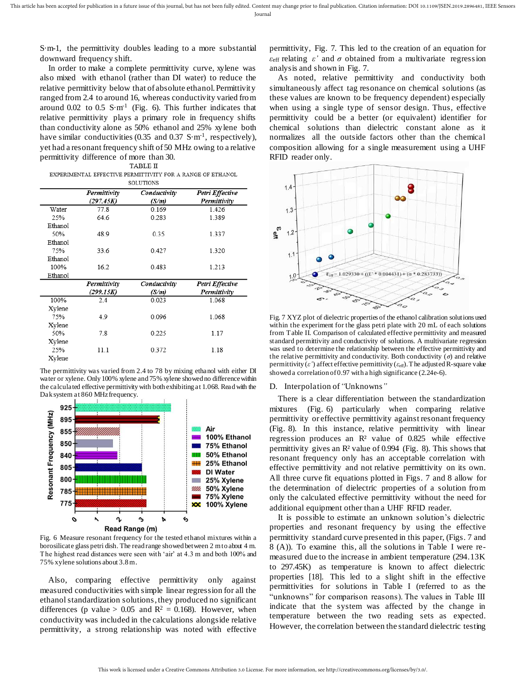S·m-1, the permittivity doubles leading to a more substantial downward frequency shift.

In order to make a complete permittivity curve, xylene was also mixed with ethanol (rather than DI water) to reduce the relative permittivity below that of absolute ethanol. Permittivity ranged from 2.4 to around 16, whereas conductivity varied from around  $0.02$  to  $0.5$  S·m<sup>-1</sup> (Fig. 6). This further indicates that relative permittivity plays a primary role in frequency shifts than conductivity alone as 50% ethanol and 25% xylene both have similar conductivities (0.35 and 0.37 S·m<sup>-1</sup>, respectively), yet had a resonant frequency shift of 50 MHz owing to a relative permittivity difference of more than 30.

EXPERIMENTAL EFFECTIVE PERMITTIVITY FOR A RANGE OF ETHANOL **SOLUTIONS** 

|         | Permittivity<br>(297.45K) | Conductivity<br>(S/m) | Petri Effective<br>Permittivity |
|---------|---------------------------|-----------------------|---------------------------------|
| Water   | 77.8                      | 0.169                 | 1.426                           |
| 25%     | 64.6                      | 0.283                 | 1.389                           |
| Ethanol |                           |                       |                                 |
| 50%     | 48.9                      | 0.35                  | 1.337                           |
| Ethanol |                           |                       |                                 |
| 75%     | 33.6                      | 0.427                 | 1.320                           |
| Ethanol |                           |                       |                                 |
| 100%    | 16.2                      | 0.483                 | 1.213                           |
| Ethanol |                           |                       |                                 |
|         | Permittivity              | Conductivity          | Petri Effective                 |
|         | (299.15K)                 | (S/m)                 | Permittivity                    |
| 100%    | 2.4                       | 0.023                 | 1.068                           |
| Xylene  |                           |                       |                                 |
| 75%     | 4.9                       | 0.096                 | 1.068                           |
| Xylene  |                           |                       |                                 |
| 50%     | 7.8                       | 0.225                 | 1.17                            |
| Xylene  |                           |                       |                                 |
| 25%     | 11.1                      | 0.372                 | 1.18                            |
| Xylene  |                           |                       |                                 |
|         |                           |                       |                                 |

The permittivity was varied from 2.4 to 78 by mixing ethanol with either DI water or xylene. Only 100% xylene and 75% xylene showed no difference within the calculated effective permittivity with both exhibiting at 1.068. Read with the Dak system at 860 MHz frequency.



Fig. 6 Measure resonant frequency for the tested ethanol mixtures within a borosilicate glass petri dish. The read range showed between 2 m to about 4 m. The highest read distances were seen with 'air' at 4.3 m and both 100% and 75% xylene solutions about 3.8 m.

Also, comparing effective permittivity only against measured conductivities with simple linear regression for all the ethanol standardization solutions, they produced no significant differences (p value > 0.05 and  $R^2 = 0.168$ ). However, when conductivity was included in the calculations alongside relative permittivity, a strong relationship was noted with effective

permittivity, Fig. 7. This led to the creation of an equation for  $\epsilon_{\text{eff}}$  relating  $\epsilon'$  and  $\sigma$  obtained from a multivariate regression analysis and shown in Fig. 7.

As noted, relative permittivity and conductivity both simultaneously affect tag resonance on chemical solutions (as these values are known to be frequency dependent) especially when using a single type of sensor design. Thus, effective permittivity could be a better (or equivalent) identifier for chemical solutions than dielectric constant alone as it normalizes all the outside factors other than the chemical composition allowing for a single measurement using a UHF RFID reader only.



Fig. 7 XYZ plot of dielectric properties of the ethanol calibration solutions used within the experiment for the glass petri plate with 20 mL of each solutions from Table II. Comparison of calculated effective permittivity and measured standard permittivity and conductivity of solutions. A multivariate regression was used to determine the relationship between the effective permittivity and the relative permittivity and conductivity. Both conductivity  $(\sigma)$  and relative permittivity  $(\varepsilon')$  affect effective permittivity  $(\varepsilon_{\text{eff}})$ . The adjusted R-square value showed a correlation of 0.97 with a high significance (2.24e-6).

#### D. Interpolation of *"*Unknowns*"*

There is a clear differentiation between the standardization mixtures (Fig. 6) particularly when comparing relative permittivity or effective permittivity against resonant frequency (Fig. 8). In this instance, relative permittivity with linear regression produces an R² value of 0.825 while effective permittivity gives an R² value of 0.994 (Fig. 8). This shows that resonant frequency only has an acceptable correlation with effective permittivity and not relative permittivity on its own. All three curve fit equations plotted in Figs. 7 and 8 allow for the determination of dielectric properties of a solution from only the calculated effective permittivity without the need for additional equipment other than a UHF RFID reader.

It is possible to estimate an unknown solution's dielectric properties and resonant frequency by using the effective permittivity standard curve presented in this paper, (Figs. 7 and 8 (A)). To examine this, all the solutions in Table I were remeasured due to the increase in ambient temperature (294.13K to 297.45K) as temperature is known to affect dielectric properties [18]. This led to a slight shift in the effective permittivities for solutions in Table I (referred to as the "unknowns" for comparison reasons). The values in Table III indicate that the system was affected by the change in temperature between the two reading sets as expected. However, the correlation between the standard dielectric testing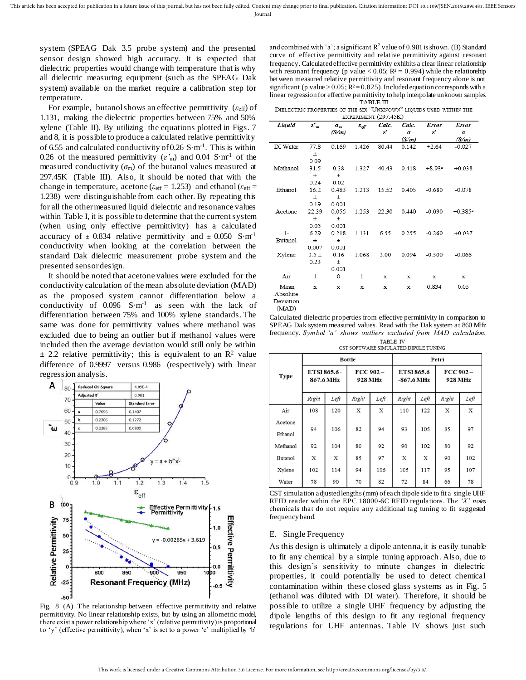Journal

system (SPEAG Dak 3.5 probe system) and the presented sensor design showed high accuracy. It is expected that dielectric properties would change with temperature that is why all dielectric measuring equipment (such as the SPEAG Dak system) available on the market require a calibration step for temperature.

For example, butanol shows an effective permittivity ( $\varepsilon$ <sub>eff</sub>) of 1.131, making the dielectric properties between 75% and 50% xylene (Table II). By utilizing the equations plotted in Figs. 7 and 8, it is possible to produce a calculated relative permittivity of 6.55 and calculated conductivity of 0.26  $S·m<sup>-1</sup>$ . This is within 0.26 of the measured permittivity  $(\varepsilon'_m)$  and 0.04 S·m<sup>-1</sup> of the measured conductivity  $(\sigma_m)$  of the butanol values measured at 297.45K (Table III). Also, it should be noted that with the change in temperature, acetone ( $\varepsilon_{\text{eff}}$  = 1.253) and ethanol ( $\varepsilon_{\text{eff}}$  = 1.238) were distinguishable from each other. By repeating this for all the other measured liquid dielectric and resonance values within Table I, it is possible to determine that the current system (when using only effective permittivity) has a calculated accuracy of  $\pm$  0.834 relative permittivity and  $\pm$  0.050 S·m<sup>-1</sup> conductivity when looking at the correlation between the standard Dak dielectric measurement probe system and the presented sensor design.

It should be noted that acetone values were excluded for the conductivity calculation of the mean absolute deviation (MAD) as the proposed system cannot differentiation below a conductivity of  $0.096$  S·m<sup>-1</sup> as seen with the lack of differentiation between 75% and 100% xylene standards. The same was done for permittivity values where methanol was excluded due to being an outlier but if methanol values were included then the average deviation would still only be within  $\pm$  2.2 relative permittivity; this is equivalent to an R<sup>2</sup> value difference of 0.9997 versus 0.986 (respectively) with linear regression analysis.



Fig. 8 (A) The relationship between effective permittivity and relative permittivity. No linear relationship exists, but by using an allometric model, there exist a power relationship where 'x' (relative permittivity) is proportional to 'y' (effective permittivity), when 'x' is set to a power 'c' multiplied by 'b'

and combined with 'a'; a significant  $R^2$  value of 0.981 is shown. (B) Standard curve of effective permittivity and relative permittivity against resonant frequency. Calculated effective permittivity exhibits a clear linear relationship with resonant frequency (p value < 0.05;  $R^2 = 0.994$ ) while the relationship between measured relative permittivity and resonant frequency alone is not significant (p value >  $0.05$ ;  $R<sup>2</sup> = 0.825$ ). Included equation corresponds with a linear regression for effective permittivity to help interpolate unknown samples.

DIELECTRIC PROPERTIES OF THE SIX "UNKNOWN" LIOUIDS USED WITHIN THE EXPERIMENT (297 45K)

| Liquid         | $\varepsilon_{m}'$ | $\sigma_{m}$ | $\varepsilon_{\it eff}$ | Calc.                  | Calc. | Error         | Error                 |
|----------------|--------------------|--------------|-------------------------|------------------------|-------|---------------|-----------------------|
|                |                    | (S/m)        |                         | $\epsilon^{\text{!`}}$ | σ     | $\varepsilon$ | σ                     |
|                |                    |              |                         |                        | (S/m) |               | (S/m)                 |
| DI Water       | 77.8               | 0.169        | 1.426                   | 80.44                  | 0.142 | $+2.64$       | $-0.027$              |
|                | $_{\pm}$           |              |                         |                        |       |               |                       |
|                | 0.09               |              |                         |                        |       |               |                       |
| Methanol       | 31.5               | 0.38         | 1.327                   | 40.43                  | 0.418 | $+8.93a$      | $+0.038$              |
|                | $_{\pm}$           | $\pm$        |                         |                        |       |               |                       |
|                | 0.24               | 0.02         |                         |                        |       |               |                       |
| Ethanol        | 16.2               | 0.483        | 1.213                   | 15.52                  | 0.405 | $-0.680$      | $-0.078$              |
|                | $_{\pm}$           | 士            |                         |                        |       |               |                       |
|                | 0.19               | 0.001        |                         |                        |       |               |                       |
| Acetone        | 22.39              | 0.055        | 1.253                   | 22.30                  | 0.440 | $-0.090$      | $+0.385$ <sup>a</sup> |
|                | $_{\pm}$           | 士            |                         |                        |       |               |                       |
|                | 0.05               | 0.001        |                         |                        |       |               |                       |
| $1-$           | 6.29               | 0.218        | 1.131                   | 6.55                   | 0.255 | $-0.260$      | $+0.037$              |
| <b>Butanol</b> | $_{\pm}$           | 士            |                         |                        |       |               |                       |
|                | 0.007              | 0.001        |                         |                        |       |               |                       |
| Xylene         | $3.5 +$            | 0.16         | 1.068                   | 3.00                   | 0.094 | $-0.500$      | $-0.066$              |
|                | 0.23               | 士            |                         |                        |       |               |                       |
|                |                    | 0.001        |                         |                        |       |               |                       |
| Air            | $\mathbf{1}$       | 0            | 1                       | x                      | x     | x             | x                     |
| Mean           | x                  | X            | x                       | X                      | x     | 0.834         | 0.05                  |
| Absolute       |                    |              |                         |                        |       |               |                       |
| Deviation      |                    |              |                         |                        |       |               |                       |

(MAD)

Calculated dielectric properties from effective permittivity in comparison to SPEAG Dak system measured values. Read with the Dak system at 860 MHz frequency. Symbol 'a' shows outliers excluded from MAD calculation. TABLE IV

CST SOFTWARE SIMULATED DIPOLE TUNING

|                    | <b>Bottle</b>             |      |                        |      | Petri                      |      |                        |      |
|--------------------|---------------------------|------|------------------------|------|----------------------------|------|------------------------|------|
| <b>Type</b>        | ETSI 865.6 -<br>867.6 MHz |      | $FCC 902 -$<br>928 MHz |      | ETSI 865.6<br>$-867.6$ MHz |      | $FCC 902 -$<br>928 MHz |      |
|                    | Right                     | Left | Right                  | Left | Right                      | Left | Right                  | Left |
| Air                | 108                       | 120  | X                      | X    | 110                        | 122  | X                      | х    |
| Acetone<br>Ethanol | 94                        | 106  | 82                     | 94   | 93                         | 105  | 85                     | 97   |
| Methanol           | 92                        | 104  | 80                     | 92   | 90                         | 102  | 80                     | 92   |
| <b>Butanol</b>     | X                         | X    | 85                     | 97   | X                          | X    | 90                     | 102  |
| Xylene             | 102                       | 114  | 94                     | 106  | 105                        | 117  | 95                     | 107  |
| Water              | 78                        | 90   | 70                     | 82   | 72                         | 84   | 66                     | 78   |

CST simulation adjusted lengths (mm) of each dipole side to fit a single UHF RFID reader within the EPC 18000-6C RFID regulations. Th*e 'X' notes*  chemicals that do not require any additional tag tuning to fit suggested frequency band.

#### E. Single Frequency

As this design is ultimately a dipole antenna, it is easily tunable to fit any chemical by a simple tuning approach. Also, due to this design's sensitivity to minute changes in dielectric properties, it could potentially be used to detect chemical contamination within these closed glass systems as in Fig. 5 (ethanol was diluted with DI water). Therefore, it should be possible to utilize a single UHF frequency by adjusting the dipole lengths of this design to fit any regional frequency regulations for UHF antennas. Table IV shows just such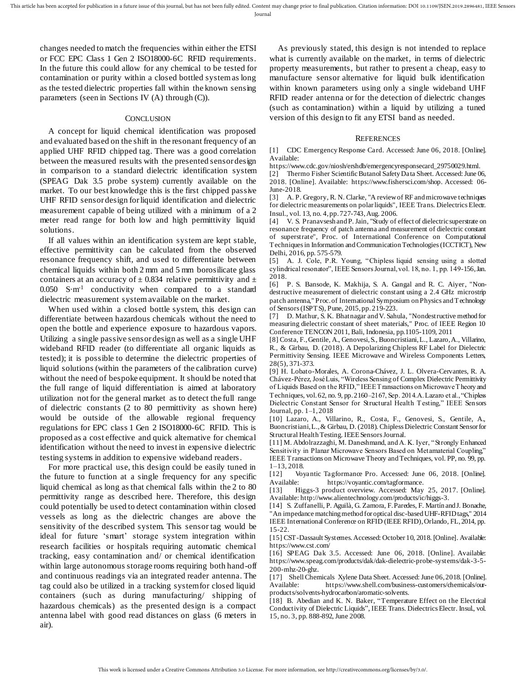changes needed to match the frequencies within either the ETSI or FCC EPC Class 1 Gen 2 ISO18000-6C RFID requirements. In the future this could allow for any chemical to be tested for contamination or purity within a closed bottled system as long as the tested dielectric properties fall within the known sensing parameters (seen in Sections IV (A) through (C)).

#### **CONCLUSION**

A concept for liquid chemical identification was proposed and evaluated based on the shift in the resonant frequency of an applied UHF RFID chipped tag. There was a good correlation between the measured results with the presented sensor design in comparison to a standard dielectric identification system (SPEAG Dak 3.5 probe system) currently available on the market. To our best knowledge this is the first chipped passive UHF RFID sensor design for liquid identification and dielectric measurement capable of being utilized with a minimum of a 2 meter read range for both low and high permittivity liquid solutions.

If all values within an identification system are kept stable, effective permittivity can be calculated from the observed resonance frequency shift, and used to differentiate between chemical liquids within both 2 mm and 5 mm borosilicate glass containers at an accuracy of  $\pm$  0.834 relative permittivity and  $\pm$  $0.050$  S·m<sup>-1</sup> conductivity when compared to a standard dielectric measurement system available on the market.

When used within a closed bottle system, this design can differentiate between hazardous chemicals without the need to open the bottle and experience exposure to hazardous vapors. Utilizing a single passive sensor design as well as a single UHF wideband RFID reader (to differentiate all organic liquids as tested); it is possible to determine the dielectric properties of liquid solutions (within the parameters of the calibration curve) without the need of bespoke equipment. It should be noted that the full range of liquid differentiation is aimed at laboratory utilization not for the general market as to detect the full range of dielectric constants (2 to 80 permittivity as shown here) would be outside of the allowable regional frequency regulations for EPC class 1 Gen 2 ISO18000-6C RFID. This is proposed as a cost effective and quick alternative for chemical identification without the need to invest in expensive dielectric testing systems in addition to expensive wideband readers.

For more practical use, this design could be easily tuned in the future to function at a single frequency for any specific liquid chemical as long as that chemical falls within the 2 to 80 permittivity range as described here. Therefore, this design could potentially be used to detect contamination within closed vessels as long as the dielectric changes are above the sensitivity of the described system. This sensor tag would be ideal for future 'smart' storage system integration within research facilities or hospitals requiring automatic chemical tracking, easy contamination and/ or chemical identification within large autonomous storage rooms requiring both hand-off and continuous readings via an integrated reader antenna. The tag could also be utilized in a tracking system for closed liquid containers (such as during manufacturing/ shipping of hazardous chemicals) as the presented design is a compact antenna label with good read distances on glass (6 meters in air).

As previously stated, this design is not intended to replace what is currently available on the market, in terms of dielectric property measurements, but rather to present a cheap, easy to manufacture sensor alternative for liquid bulk identification within known parameters using only a single wideband UHF RFID reader antenna or for the detection of dielectric changes (such as contamination) within a liquid by utilizing a tuned version of this design to fit any ETSI band as needed.

#### **REFERENCES**

[1] CDC Emergency Response Card. Accessed: June 06, 2018. [Online]. Available:

https://www.cdc.gov/niosh/ershdb/emergencyresponsecard\_29750029.html.

[2] Thermo Fisher Scientific Butanol Safety Data Sheet. Accessed: June 06, 2018. [Online]. Available: https://www.fishersci.com/shop. Accessed: 06- June-2018.

[3] A. P. Gregory, R. N. Clarke, "A review of RF and microwave techniques for dielectric measurements on polar liquids", IEEE Trans. Dielectrics Electr. Insul., vol. 13, no. 4, pp. 727-743, Aug. 2006.

[4] V. S. Pranavsesh and P. Jain, "Study of effect of dielectric superstrate on resonance frequency of patch antenna and measurement of dielectric constant of superstrate", Proc. of International Conference on Computational Techniques in Information and Communication Technologies (ICCTICT), New Delhi, 2016, pp. 575-579.

[5] A. J. Cole, P.R. Young, "Chipless liquid sensing using a slotted cylindrical resonator", IEEE Sensors Journal, vol. 18, no. 1, pp. 149-156, Jan. 2018.

[6] P. S. Bansode, K. Makhija, S. A. Gangal and R. C. Aiyer, "Nondestructive measurement of dielectric constant using a 2.4 GHz microstrip patch antenna," Proc. of International Symposium on Physics and Technology of Sensors (ISPTS), Pune, 2015, pp. 219-223.

[7] D. Mathur, S. K. Bhatnagar and V. Sahula, "Nondestructive method for measuring dielectric constant of sheet materials," Proc. of IEEE Region 10 Conference TENCON 2011, Bali, Indonesia, pp.1105-1109, 2011

[8] Costa, F., Gentile, A., Genovesi, S., Buoncristiani, L., Lazaro, A., Villarino, R., & Girbau, D. (2018). A Depolarizing Chipless RF Label for Dielectric Permittivity Sensing. IEEE Microwave and Wireless Components Letters, 28(5), 371-373.

[9] H. Lobato-Morales, A. Corona-Chávez, J. L. Olvera-Cervantes, R. A. Chávez-Pérez, José Luis, "Wireless Sensing of Complex Dielectric Permittivity of Liquids Based on the RFID," IEEE Transactions on Microwave Theory and Techniques, vol. 62, no. 9, pp. 2160-2167, Sep. 2014.A. Lazaro et al., "Chipless Dielectric Constant Sensor for Structural Health Testing," IEEE Sensors Journal, pp. 1–1, 2018

[10] Lazaro, A., Villarino, R., Costa, F., Genovesi, S., Gentile, A., Buoncristiani, L., & Girbau, D. (2018). Chipless Dielectric Constant Sensor for Structural Health Testing. IEEE Sensors Journal.

[11] M. Abdolrazzaghi, M. Daneshmand, and A. K. Iyer, "Strongly Enhanced Sensitivity in Planar Microwave Sensors Based on Metamaterial Coupling" IEEE Transactions on Microwave Theory and Techniques, vol. PP, no. 99, pp. 1–13, 2018.

[12] Voyantic Tagformance Pro. Accessed: June 06, 2018. [Online]. Available: https://voyantic.com/tagformance.

[13] Higgs-3 product overview. Accessed: May 25, 2017. [Online]. Available: http://www.alientechnology.com/products/ic/higgs-3.

[14] S. Zuffanelli, P. Aguilà, G. Zamora, F. Paredes, F. Martín and J. Bonache, "An impedance matching method for optical disc-based UHF-RFID tags," 2014 IEEE International Conference on RFID (IEEE RFID), Orlando, FL, 2014, pp. 15-22.

[15] CST-Dassault Systemes. Accessed: October 10, 2018. [Online]. Available: https://www.cst.com/

[16] SPEAG Dak 3.5. Accessed: June 06, 2018. [Online]. Available: https://www.speag.com/products/dak/dak-dielectric-probe-systems/dak-3-5- 200-mhz-20-ghz.

[17] Shell Chemicals Xylene Data Sheet. Accessed: June 06, 2018. [Online]. Available: https://www.shell.com/business-customers/chemicals/ourproducts/solvents-hydrocarbon/aromatic-solvents.

[18] B. Abedian and K. N. Baker, "Temperature Effect on the Electrical Conductivity of Dielectric Liquids", IEEE Trans. Dielectrics Electr. Insul., vol. 15, no. 3, pp. 888-892, June 2008.